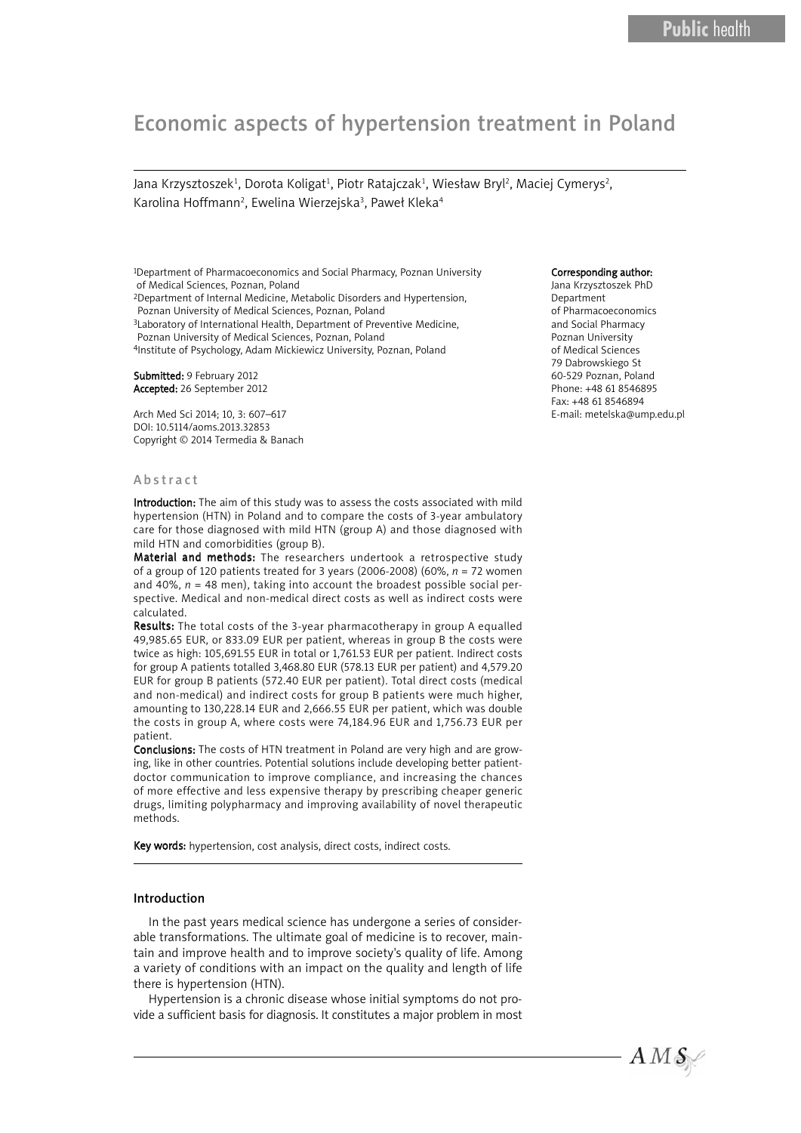# Economic aspects of hypertension treatment in Poland Economic aspects of hypertension treatment in Poland

Jana Krzysztoszek<sup>1</sup>, Dorota Koligat<sup>1</sup>, Piotr Ratajczak<sup>1</sup>, Wiesław Bryl<sup>2</sup>, Maciej Cymerys<sup>2</sup>, Karolina Hoffmann<sup>2</sup>, Ewelina Wierzejska<sup>3</sup>, Paweł Kleka<sup>4</sup>

1Department of Pharmacoeconomics and Social Pharmacy, Poznan University of Medical Sciences, Poznan, Poland

2Department of Internal Medicine, Metabolic Disorders and Hypertension,

Poznan University of Medical Sciences, Poznan, Poland

3Laboratory of International Health, Department of Preventive Medicine, Poznan University of Medical Sciences, Poznan, Poland

4Institute of Psychology, Adam Mickiewicz University, Poznan, Poland

Submitted: 9 February 2012 Accepted: 26 September 2012

Arch Med Sci 2014; 10, 3: 607–617 DOI: 10.5114/aoms.2013.32853 Copyright © 2014 Termedia & Banach

#### **Abstract**

Introduction: The aim of this study was to assess the costs associated with mild hypertension (HTN) in Poland and to compare the costs of 3-year ambulatory care for those diagnosed with mild HTN (group A) and those diagnosed with mild HTN and comorbidities (group B).

Material and methods: The researchers undertook a retrospective study of a group of 120 patients treated for 3 years (2006-2008) (60%, *n* = 72 women and 40%,  $n = 48$  men), taking into account the broadest possible social perspective. Medical and non-medical direct costs as well as indirect costs were calculated.

Results: The total costs of the 3-year pharmacotherapy in group A equalled 49,985.65 EUR, or 833.09 EUR per patient, whereas in group B the costs were twice as high: 105,691.55 EUR in total or 1,761.53 EUR per patient. Indirect costs for group A patients totalled 3,468.80 EUR (578.13 EUR per patient) and 4,579.20 EUR for group B patients (572.40 EUR per patient). Total direct costs (medical and non-medical) and indirect costs for group B patients were much higher, amounting to 130,228.14 EUR and 2,666.55 EUR per patient, which was double the costs in group A, where costs were 74,184.96 EUR and 1,756.73 EUR per patient.

Conclusions: The costs of HTN treatment in Poland are very high and are growing, like in other countries. Potential solutions include developing better patientdoctor communication to improve compliance, and increasing the chances of more effective and less expensive therapy by prescribing cheaper generic drugs, limiting polypharmacy and improving availability of novel therapeutic methods.

Key words: hypertension, cost analysis, direct costs, indirect costs.

#### Introduction

In the past years medical science has undergone a series of considerable transformations. The ultimate goal of medicine is to recover, maintain and improve health and to improve society's quality of life. Among a variety of conditions with an impact on the quality and length of life there is hypertension (HTN).

Hypertension is a chronic disease whose initial symptoms do not provide a sufficient basis for diagnosis. It constitutes a major problem in most

#### Corresponding author:

Jana Krzysztoszek PhD **Department** of Pharmacoeconomics and Social Pharmacy Poznan University of Medical Sciences 79 Dabrowskiego St 60-529 Poznan, Poland Phone: +48 61 8546895 Fax: +48 61 8546894 E-mail: metelska@ump.edu.pl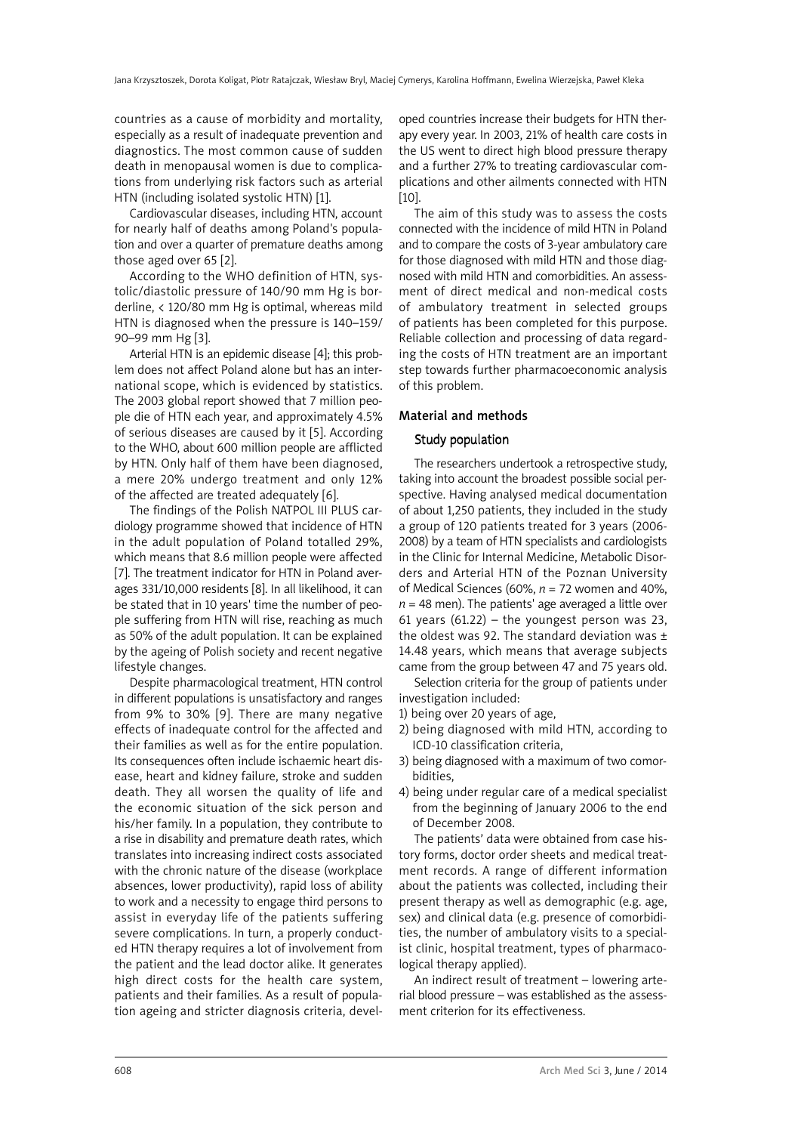countries as a cause of morbidity and mortality, especially as a result of inadequate prevention and diagnostics. The most common cause of sudden death in menopausal women is due to complications from underlying risk factors such as arterial HTN (including isolated systolic HTN) [1].

Cardiovascular diseases, including HTN, account for nearly half of deaths among Poland's population and over a quarter of premature deaths among those aged over 65 [2].

According to the WHO definition of HTN, systolic/diastolic pressure of 140/90 mm Hg is borderline, < 120/80 mm Hg is optimal, whereas mild HTN is diagnosed when the pressure is 140–159/ 90–99 mm Hg [3].

Arterial HTN is an epidemic disease [4]; this problem does not affect Poland alone but has an international scope, which is evidenced by statistics. The 2003 global report showed that 7 million people die of HTN each year, and approximately 4.5% of serious diseases are caused by it [5]. According to the WHO, about 600 million people are afflicted by HTN. Only half of them have been diagnosed, a mere 20% undergo treatment and only 12% of the affected are treated adequately [6].

The findings of the Polish NATPOL III PLUS cardiology programme showed that incidence of HTN in the adult population of Poland totalled 29%, which means that 8.6 million people were affected [7]. The treatment indicator for HTN in Poland averages 331/10,000 residents [8]. In all likelihood, it can be stated that in 10 years' time the number of people suffering from HTN will rise, reaching as much as 50% of the adult population. It can be explained by the ageing of Polish society and recent negative lifestyle changes.

Despite pharmacological treatment, HTN control in different populations is unsatisfactory and ranges from 9% to 30% [9]. There are many negative effects of inadequate control for the affected and their families as well as for the entire population. Its consequences often include ischaemic heart disease, heart and kidney failure, stroke and sudden death. They all worsen the quality of life and the economic situation of the sick person and his/her family. In a population, they contribute to a rise in disability and premature death rates, which translates into increasing indirect costs associated with the chronic nature of the disease (workplace absences, lower productivity), rapid loss of ability to work and a necessity to engage third persons to assist in everyday life of the patients suffering severe complications. In turn, a properly conducted HTN therapy requires a lot of involvement from the patient and the lead doctor alike. It generates high direct costs for the health care system, patients and their families. As a result of population ageing and stricter diagnosis criteria, devel-

oped countries increase their budgets for HTN therapy every year. In 2003, 21% of health care costs in the US went to direct high blood pressure therapy and a further 27% to treating cardiovascular complications and other ailments connected with HTN [10].

The aim of this study was to assess the costs connected with the incidence of mild HTN in Poland and to compare the costs of 3-year ambulatory care for those diagnosed with mild HTN and those diagnosed with mild HTN and comorbidities. An assessment of direct medical and non-medical costs of ambulatory treatment in selected groups of patients has been completed for this purpose. Reliable collection and processing of data regarding the costs of HTN treatment are an important step towards further pharmacoeconomic analysis of this problem.

#### Material and methods

## Study population

The researchers undertook a retrospective study, taking into account the broadest possible social perspective. Having analysed medical documentation of about 1,250 patients, they included in the study a group of 120 patients treated for 3 years (2006- 2008) by a team of HTN specialists and cardiologists in the Clinic for Internal Medicine, Metabolic Disorders and Arterial HTN of the Poznan University of Medical Sciences (60%, *n* = 72 women and 40%,  $n = 48$  men). The patients' age averaged a little over 61 years  $(61.22)$  – the youngest person was 23, the oldest was 92. The standard deviation was  $\pm$ 14.48 years, which means that average subjects came from the group between 47 and 75 years old.

Selection criteria for the group of patients under investigation included:

- 1) being over 20 years of age,
- 2) being diagnosed with mild HTN, according to ICD-10 classification criteria,
- 3) being diagnosed with a maximum of two comorbidities,
- 4) being under regular care of a medical specialist from the beginning of January 2006 to the end of December 2008.

The patients' data were obtained from case history forms, doctor order sheets and medical treatment records. A range of different information about the patients was collected, including their present therapy as well as demographic (e.g. age, sex) and clinical data (e.g. presence of comorbidities, the number of ambulatory visits to a specialist clinic, hospital treatment, types of pharmacological therapy applied).

An indirect result of treatment – lowering arterial blood pressure – was established as the assessment criterion for its effectiveness.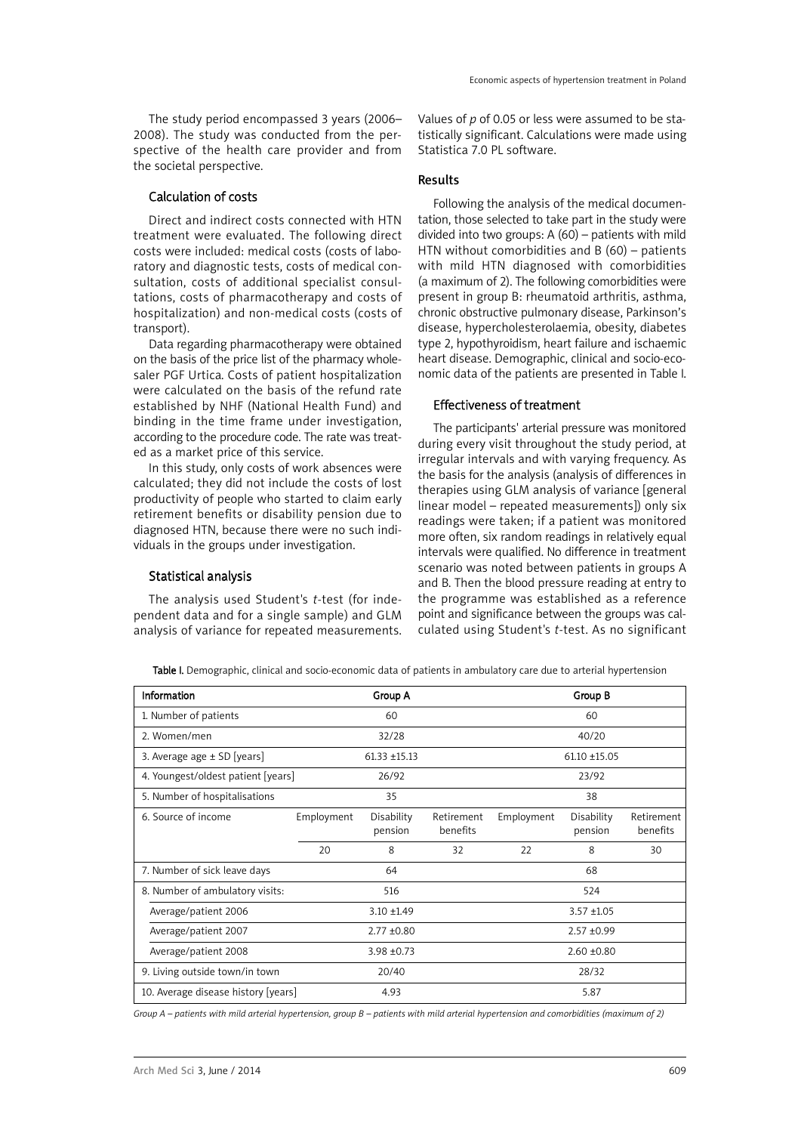The study period encompassed 3 years (2006– 2008). The study was conducted from the perspective of the health care provider and from the societal perspective.

## Calculation of costs

Direct and indirect costs connected with HTN treatment were evaluated. The following direct costs were included: medical costs (costs of laboratory and diagnostic tests, costs of medical consultation, costs of additional specialist consultations, costs of pharmacotherapy and costs of hospitalization) and non-medical costs (costs of transport).

Data regarding pharmacotherapy were obtained on the basis of the price list of the pharmacy wholesaler PGF Urtica. Costs of patient hospitalization were calculated on the basis of the refund rate established by NHF (National Health Fund) and binding in the time frame under investigation, according to the procedure code. The rate was treated as a market price of this service.

In this study, only costs of work absences were calculated; they did not include the costs of lost productivity of people who started to claim early retirement benefits or disability pension due to diagnosed HTN, because there were no such individuals in the groups under investigation.

## Statistical analysis

The analysis used Student's *t*-test (for independent data and for a single sample) and GLM analysis of variance for repeated measurements. Values of *p* of 0.05 or less were assumed to be statistically significant. Calculations were made using Statistica 7.0 PL software.

#### Results

Following the analysis of the medical documentation, those selected to take part in the study were divided into two groups: A (60) – patients with mild HTN without comorbidities and B (60) – patients with mild HTN diagnosed with comorbidities (a maximum of 2). The following comorbidities were present in group B: rheumatoid arthritis, asthma, chronic obstructive pulmonary disease, Parkinson's disease, hypercholesterolaemia, obesity, diabetes type 2, hypothyroidism, heart failure and ischaemic heart disease. Demographic, clinical and socio-economic data of the patients are presented in Table I.

## Effectiveness of treatment

The participants' arterial pressure was monitored during every visit throughout the study period, at irregular intervals and with varying frequency. As the basis for the analysis (analysis of differences in therapies using GLM analysis of variance [general linear model – repeated measurements]) only six readings were taken; if a patient was monitored more often, six random readings in relatively equal intervals were qualified. No difference in treatment scenario was noted between patients in groups A and B. Then the blood pressure reading at entry to the programme was established as a reference point and significance between the groups was calculated using Student's *t*-test. As no significant

Table I. Demographic, clinical and socio-economic data of patients in ambulatory care due to arterial hypertension

| <b>Information</b>                  |                                  | Group A               |                        |                 | Group B               |                        |  |  |
|-------------------------------------|----------------------------------|-----------------------|------------------------|-----------------|-----------------------|------------------------|--|--|
| 1. Number of patients               | 60                               |                       |                        |                 | 60                    |                        |  |  |
| 2. Women/men                        |                                  | 32/28                 |                        | 40/20           |                       |                        |  |  |
| 3. Average age $\pm$ SD [years]     |                                  | $61.33 + 15.13$       |                        | $61.10 + 15.05$ |                       |                        |  |  |
| 4. Youngest/oldest patient [years]  |                                  | 26/92                 |                        | 23/92           |                       |                        |  |  |
| 5. Number of hospitalisations       |                                  | 35                    |                        |                 | 38                    |                        |  |  |
| 6. Source of income                 | Employment                       | Disability<br>pension | Retirement<br>benefits | Employment      | Disability<br>pension | Retirement<br>benefits |  |  |
|                                     | 20                               | 8                     | 32                     | 22              | 8                     | 30                     |  |  |
| 7. Number of sick leave days        |                                  | 64                    |                        |                 | 68                    |                        |  |  |
| 8. Number of ambulatory visits:     | 516                              |                       |                        | 524             |                       |                        |  |  |
| Average/patient 2006                | $3.10 + 1.49$<br>$3.57 + 1.05$   |                       |                        |                 |                       |                        |  |  |
| Average/patient 2007                | $2.77 + 0.80$                    |                       |                        | $2.57 + 0.99$   |                       |                        |  |  |
| Average/patient 2008                | $2.60 \pm 0.80$<br>$3.98 + 0.73$ |                       |                        |                 |                       |                        |  |  |
| 9. Living outside town/in town      | 20/40                            |                       |                        |                 | 28/32                 |                        |  |  |
| 10. Average disease history [years] |                                  | 4.93                  |                        |                 | 5.87                  |                        |  |  |

Group A - patients with mild arterial hypertension, group B - patients with mild arterial hypertension and comorbidities (maximum of 2)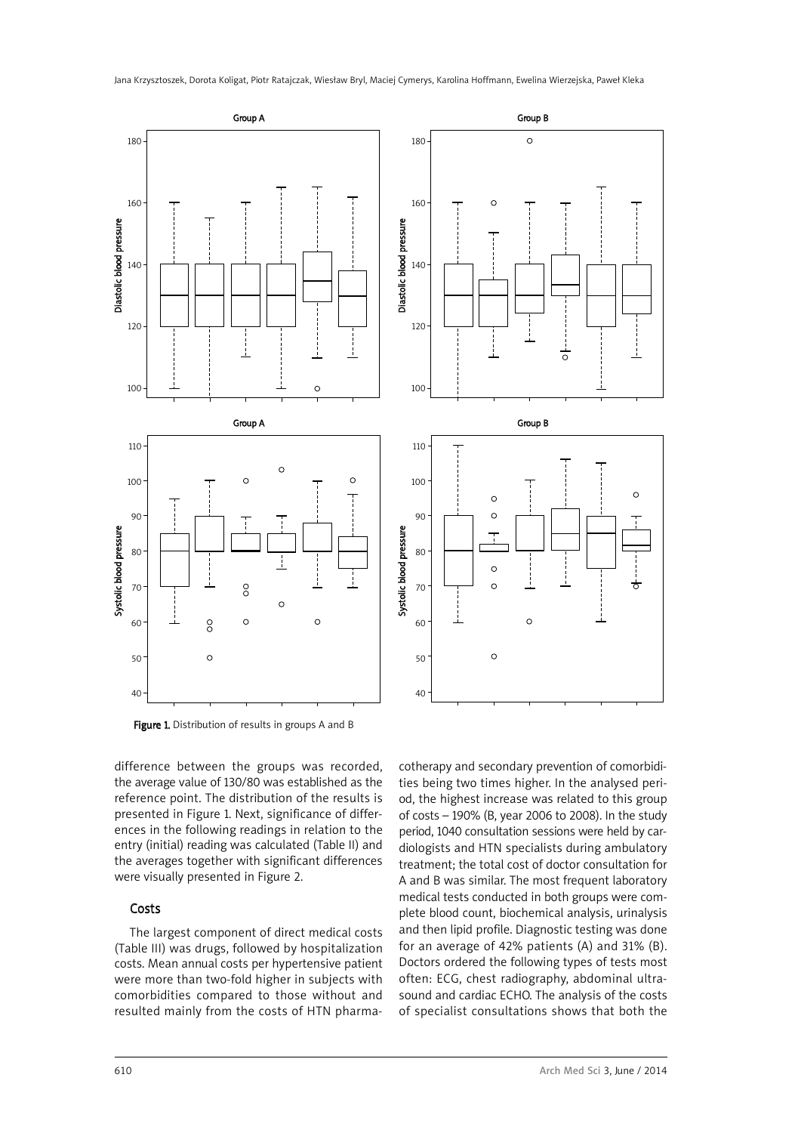

Figure 1. Distribution of results in groups A and B

difference between the groups was recorded, the average value of 130/80 was established as the reference point. The distribution of the results is presented in Figure 1. Next, significance of differences in the following readings in relation to the entry (initial) reading was calculated (Table II) and the averages together with significant differences were visually presented in Figure 2.

## Costs

The largest component of direct medical costs (Table III) was drugs, followed by hospitalization costs. Mean annual costs per hypertensive patient were more than two-fold higher in subjects with comorbidities compared to those without and resulted mainly from the costs of HTN pharmacotherapy and secondary prevention of comorbidities being two times higher. In the analysed period, the highest increase was related to this group of costs – 190% (B, year 2006 to 2008). In the study period, 1040 consultation sessions were held by cardiologists and HTN specialists during ambulatory treatment; the total cost of doctor consultation for A and B was similar. The most frequent laboratory medical tests conducted in both groups were complete blood count, biochemical analysis, urinalysis and then lipid profile. Diagnostic testing was done for an average of 42% patients (A) and 31% (B). Doctors ordered the following types of tests most often: ECG, chest radiography, abdominal ultrasound and cardiac ECHO. The analysis of the costs of specialist consultations shows that both the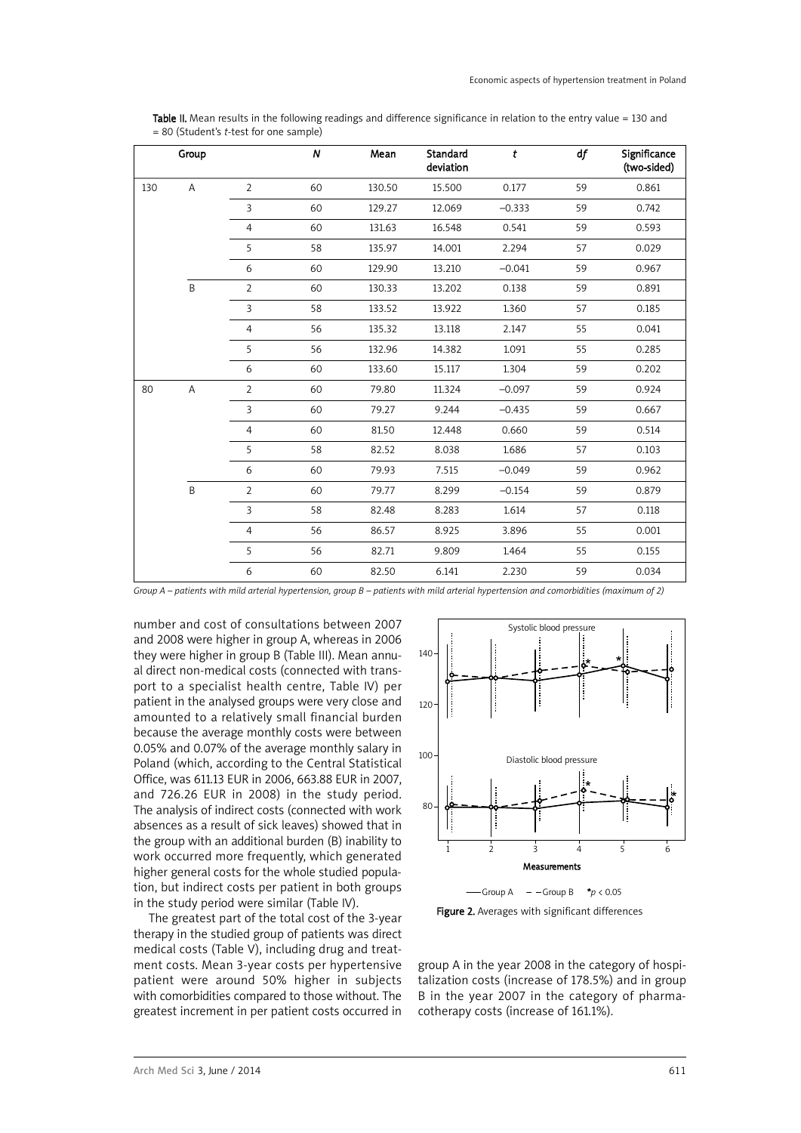|     | Group   |                | Ν  | Mean   | Standard<br>deviation | $\boldsymbol{t}$ | df | Significance<br>(two-sided) |
|-----|---------|----------------|----|--------|-----------------------|------------------|----|-----------------------------|
| 130 | A       | $\overline{2}$ | 60 | 130.50 | 15.500                | 0.177            | 59 | 0.861                       |
|     |         | $\mathbf{3}$   | 60 | 129.27 | 12.069                | $-0.333$         | 59 | 0.742                       |
|     |         | $\overline{4}$ | 60 | 131.63 | 16.548                | 0.541            | 59 | 0.593                       |
|     |         | 5              | 58 | 135.97 | 14.001                | 2.294            | 57 | 0.029                       |
|     |         | 6              | 60 | 129.90 | 13.210                | $-0.041$         | 59 | 0.967                       |
|     | $\sf B$ | $\overline{2}$ | 60 | 130.33 | 13.202                | 0.138            | 59 | 0.891                       |
|     |         | 3              | 58 | 133.52 | 13.922                | 1.360            | 57 | 0.185                       |
|     |         | 4              | 56 | 135.32 | 13.118                | 2.147            | 55 | 0.041                       |
|     |         | 5              | 56 | 132.96 | 14.382                | 1.091            | 55 | 0.285                       |
|     |         | 6              | 60 | 133.60 | 15.117                | 1.304            | 59 | 0.202                       |
| 80  | A       | $\overline{2}$ | 60 | 79.80  | 11.324                | $-0.097$         | 59 | 0.924                       |
|     |         | 3              | 60 | 79.27  | 9.244                 | $-0.435$         | 59 | 0.667                       |
|     |         | 4              | 60 | 81.50  | 12.448                | 0.660            | 59 | 0.514                       |
|     |         | 5              | 58 | 82.52  | 8.038                 | 1.686            | 57 | 0.103                       |
|     |         | 6              | 60 | 79.93  | 7.515                 | $-0.049$         | 59 | 0.962                       |
|     | B       | $\overline{2}$ | 60 | 79.77  | 8.299                 | $-0.154$         | 59 | 0.879                       |
|     |         | 3              | 58 | 82.48  | 8.283                 | 1.614            | 57 | 0.118                       |
|     |         | $\overline{4}$ | 56 | 86.57  | 8.925                 | 3.896            | 55 | 0.001                       |
|     |         | 5              | 56 | 82.71  | 9.809                 | 1.464            | 55 | 0.155                       |
|     |         | 6              | 60 | 82.50  | 6.141                 | 2.230            | 59 | 0.034                       |

Table II. Mean results in the following readings and difference significance in relation to the entry value = 130 and = 80 (Student's *t*-test for one sample)

Group A - patients with mild arterial hypertension, group B - patients with mild arterial hypertension and comorbidities (maximum of 2)

number and cost of consultations between 2007 and 2008 were higher in group A, whereas in 2006 they were higher in group B (Table III). Mean annual direct non-medical costs (connected with transport to a specialist health centre, Table IV) per patient in the analysed groups were very close and amounted to a relatively small financial burden because the average monthly costs were between 0.05% and 0.07% of the average monthly salary in Poland (which, according to the Central Statistical Office, was 611.13 EUR in 2006, 663.88 EUR in 2007, and 726.26 EUR in 2008) in the study period. The analysis of indirect costs (connected with work absences as a result of sick leaves) showed that in the group with an additional burden (B) inability to work occurred more frequently, which generated higher general costs for the whole studied population, but indirect costs per patient in both groups in the study period were similar (Table IV).

The greatest part of the total cost of the 3-year therapy in the studied group of patients was direct medical costs (Table V), including drug and treatment costs. Mean 3-year costs per hypertensive patient were around 50% higher in subjects with comorbidities compared to those without. The greatest increment in per patient costs occurred in



Figure 2. Averages with significant differences

group A in the year 2008 in the category of hospitalization costs (increase of 178.5%) and in group B in the year 2007 in the category of pharmacotherapy costs (increase of 161.1%).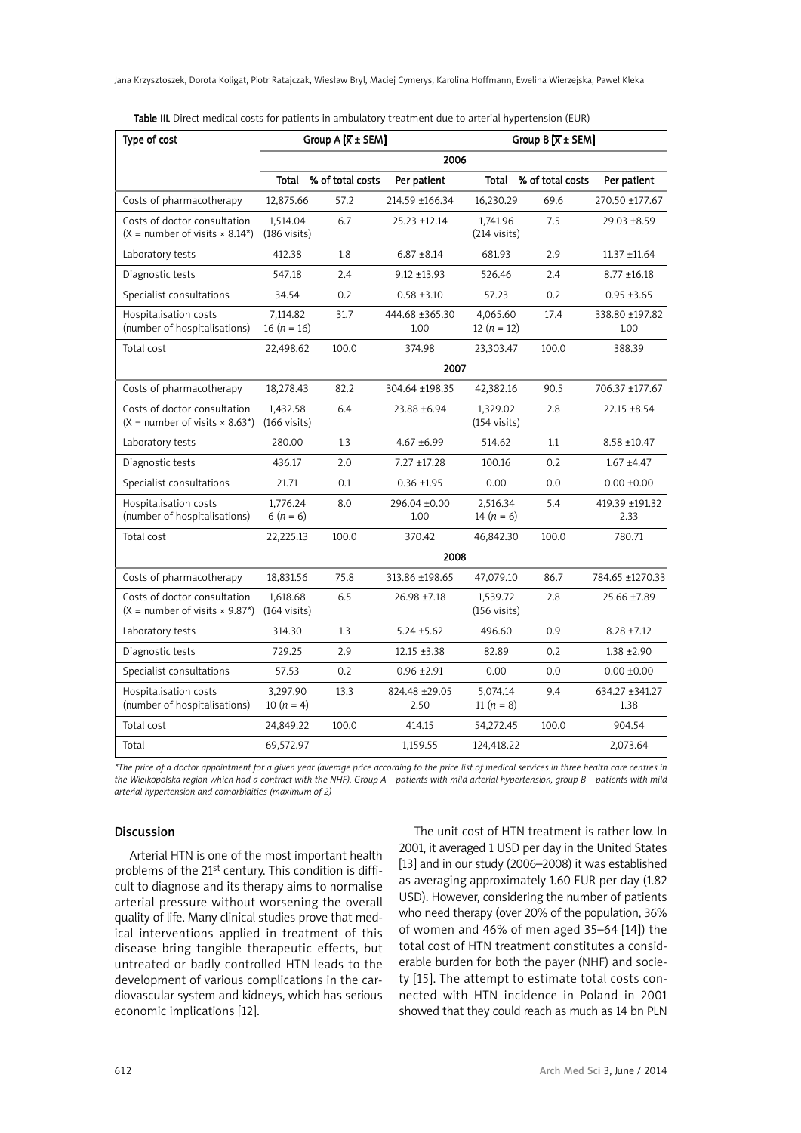Jana Krzysztoszek, Dorota Koligat, Piotr Ratajczak, Wiesław Bryl, Maciej Cymerys, Karolina Hoffmann, Ewelina Wierzejska, Paweł Kleka

| Type of cost                                                     | Group $A[\overline{x} \pm SEM]$    |                        |                        |                                    | Group $B[\overline{x} \pm SEM]$ |                        |  |  |
|------------------------------------------------------------------|------------------------------------|------------------------|------------------------|------------------------------------|---------------------------------|------------------------|--|--|
|                                                                  | 2006                               |                        |                        |                                    |                                 |                        |  |  |
|                                                                  |                                    | Total % of total costs | Per patient            |                                    | Total % of total costs          | Per patient            |  |  |
| Costs of pharmacotherapy                                         | 12,875.66                          | 57.2                   | 214.59 ±166.34         | 16,230.29                          | 69.6                            | 270.50 ±177.67         |  |  |
| Costs of doctor consultation<br>$(X = number of visits × 8.14*)$ | 1,514.04<br>$(186 \text{ visits})$ | 6.7                    | 25.23 ±12.14           | 1,741.96<br>$(214 \text{ visits})$ | 7.5                             | 29.03 ±8.59            |  |  |
| Laboratory tests                                                 | 412.38<br>1.8                      |                        | $6.87 + 8.14$          | 681.93                             | 2.9                             | $11.37 + 11.64$        |  |  |
| Diagnostic tests                                                 | 547.18                             | 2.4                    | $9.12 \pm 13.93$       | 526.46                             | 2.4                             | $8.77 \pm 16.18$       |  |  |
| Specialist consultations                                         | 34.54                              | 0.2                    | $0.58 + 3.10$          | 57.23                              | 0.2                             | $0.95 + 3.65$          |  |  |
| Hospitalisation costs<br>(number of hospitalisations)            | 7,114.82<br>16 ( $n = 16$ )        | 31.7                   | 444.68 ±365.30<br>1.00 | 4,065.60<br>12 $(n = 12)$          | 17.4                            | 338.80 ±197.82<br>1.00 |  |  |
| Total cost                                                       | 22,498.62                          | 100.0                  | 374.98                 | 23,303.47                          | 100.0                           | 388.39                 |  |  |
|                                                                  |                                    |                        | 2007                   |                                    |                                 |                        |  |  |
| Costs of pharmacotherapy                                         | 18,278.43                          | 82.2                   | 304.64 ±198.35         | 42,382.16                          | 90.5                            | 706.37 ±177.67         |  |  |
| Costs of doctor consultation<br>$(X = number of visits × 8.63*)$ | 1,432.58<br>$(166 \text{ visits})$ | 6.4                    | 23.88 ±6.94            | 1,329.02<br>$(154 \text{ visits})$ | 2.8                             | $22.15 \pm 8.54$       |  |  |
| Laboratory tests                                                 | 280.00                             | 1.3                    | $4.67 + 6.99$          | 514.62                             | 1.1                             | 8.58 ±10.47            |  |  |
| Diagnostic tests                                                 | 436.17                             | 2.0                    | 7.27 ±17.28            | 100.16                             | 0.2                             | $1.67 + 4.47$          |  |  |
| Specialist consultations                                         | 21.71                              | 0.1                    | $0.36 + 1.95$          | 0.00                               | 0.0                             | $0.00 \pm 0.00$        |  |  |
| Hospitalisation costs<br>(number of hospitalisations)            | 1,776.24<br>$6(n = 6)$             | 8.0                    | 296.04 ±0.00<br>1.00   | 2,516.34<br>14 $(n = 6)$           | 5.4                             | 419.39 ±191.32<br>2.33 |  |  |
| Total cost                                                       | 22,225.13                          | 100.0                  | 370.42                 | 46,842.30                          | 100.0                           | 780.71                 |  |  |
|                                                                  |                                    |                        | 2008                   |                                    |                                 |                        |  |  |
| Costs of pharmacotherapy                                         | 18,831.56                          | 75.8                   | 313.86 ±198.65         | 47,079.10                          | 86.7                            | 784.65 ±1270.33        |  |  |
| Costs of doctor consultation<br>$(X = number of visits × 9.87*)$ | 1,618.68<br>$(164 \text{ visits})$ | 6.5                    | 26.98 ±7.18            | 1,539.72<br>$(156 \text{ visits})$ | 2.8                             | 25.66 ±7.89            |  |  |
| Laboratory tests                                                 | 314.30                             | 1.3                    | $5.24 \pm 5.62$        | 496.60                             | 0.9                             | $8.28 \pm 7.12$        |  |  |
| Diagnostic tests                                                 | 729.25                             | 2.9                    | $12.15 + 3.38$         | 82.89                              | 0.2                             | $1.38 \pm 2.90$        |  |  |
| Specialist consultations                                         | 57.53                              | 0.2                    | $0.96 \pm 2.91$        | 0.00                               | 0.0                             | $0.00 \pm 0.00$        |  |  |
| Hospitalisation costs<br>(number of hospitalisations)            | 3,297.90<br>10 $(n = 4)$           | 13.3                   | 824.48 ±29.05<br>2.50  | 5.074.14<br>11 $(n = 8)$           | 9.4                             | 634.27 ±341.27<br>1.38 |  |  |
| Total cost                                                       | 24,849.22                          | 100.0                  | 414.15                 | 54,272.45                          | 100.0                           | 904.54                 |  |  |
| Total                                                            | 69,572.97                          |                        | 1,159.55               | 124,418.22                         |                                 | 2,073.64               |  |  |

Table III. Direct medical costs for patients in ambulatory treatment due to arterial hypertension (EUR)

\*The price of a doctor appointment for a given year (average price according to the price list of medical services in three health care centres in the Wielkopolska region which had a contract with the NHF). Group A - patients with mild arterial hypertension, group B - patients with mild *arterial hypertension and comorbidities (maximum of 2)*

## Discussion

Arterial HTN is one of the most important health problems of the 21<sup>st</sup> century. This condition is difficult to diagnose and its therapy aims to normalise arterial pressure without worsening the overall quality of life. Many clinical studies prove that medical interventions applied in treatment of this disease bring tangible therapeutic effects, but untreated or badly controlled HTN leads to the development of various complications in the cardiovascular system and kidneys, which has serious economic implications [12].

The unit cost of HTN treatment is rather low. In 2001, it averaged 1 USD per day in the United States [13] and in our study (2006–2008) it was established as averaging approximately 1.60 EUR per day (1.82 USD). However, considering the number of patients who need therapy (over 20% of the population, 36% of women and 46% of men aged 35–64 [14]) the total cost of HTN treatment constitutes a considerable burden for both the payer (NHF) and society [15]. The attempt to estimate total costs connected with HTN incidence in Poland in 2001 showed that they could reach as much as 14 bn PLN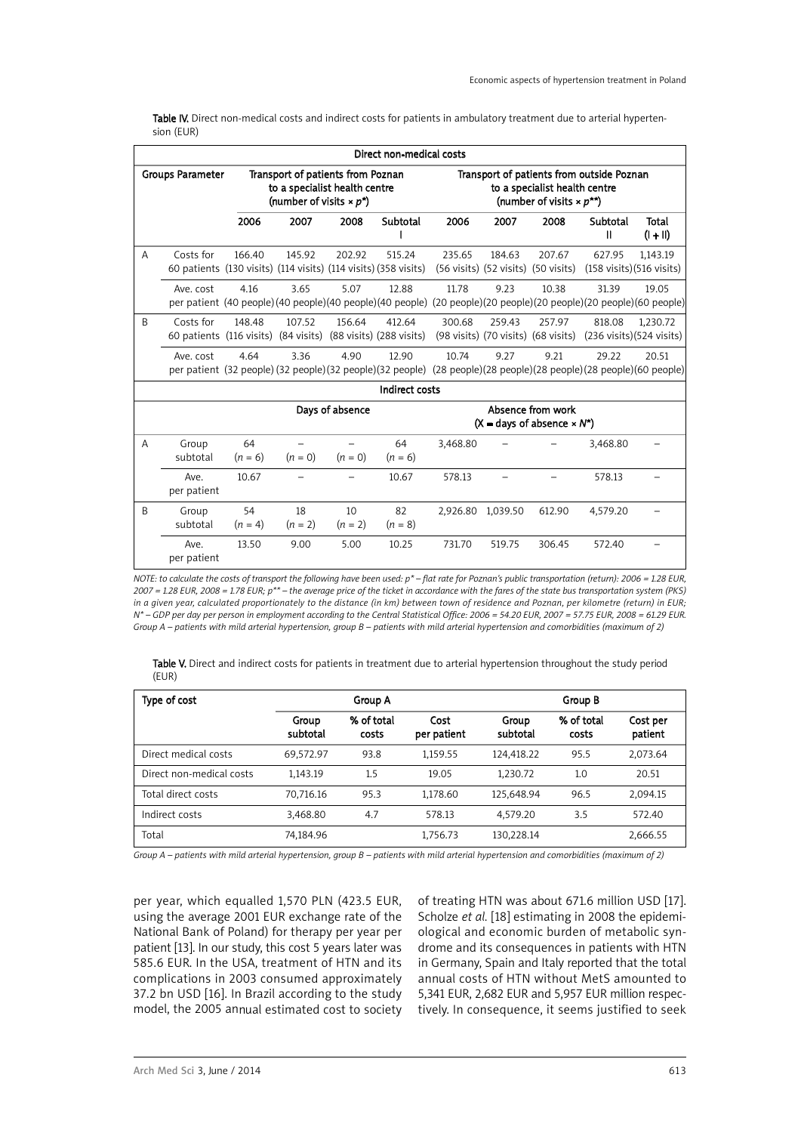Table IV. Direct non-medical costs and indirect costs for patients in ambulatory treatment due to arterial hypertension (EUR)

|                         | Direct non-medical costs                                                                                                             |                 |                                                                                                        |                 |                                                                              |          |                                                                                                                   |                                                                             |               |                                                        |  |
|-------------------------|--------------------------------------------------------------------------------------------------------------------------------------|-----------------|--------------------------------------------------------------------------------------------------------|-----------------|------------------------------------------------------------------------------|----------|-------------------------------------------------------------------------------------------------------------------|-----------------------------------------------------------------------------|---------------|--------------------------------------------------------|--|
| <b>Groups Parameter</b> |                                                                                                                                      |                 | Transport of patients from Poznan<br>to a specialist health centre<br>(number of visits $\times p^*$ ) |                 |                                                                              |          | Transport of patients from outside Poznan<br>to a specialist health centre<br>(number of visits $\times p^{**}$ ) |                                                                             |               |                                                        |  |
|                         |                                                                                                                                      | 2006            | 2007                                                                                                   | 2008            | Subtotal                                                                     | 2006     | 2007                                                                                                              | 2008                                                                        | Subtotal<br>Ш | Total<br>$(1 + 1)$                                     |  |
| A                       | Costs for<br>60 patients (130 visits) (114 visits) (114 visits) (358 visits)                                                         | 166.40          | 145.92                                                                                                 | 202.92          | 515.24                                                                       | 235.65   | 184.63                                                                                                            | 207.67<br>$(56 \text{ visits})$ $(52 \text{ visits})$ $(50 \text{ visits})$ | 627.95        | 1.143.19<br>$(158 \text{ visits})(516 \text{ visits})$ |  |
|                         | Ave. cost<br>per patient (40 people)(40 people)(40 people)(40 people) (20 people)(20 people)(20 people)(20 people)(60 people)        | 4.16            | 3.65                                                                                                   | 5.07            | 12.88                                                                        | 11.78    | 9.23                                                                                                              | 10.38                                                                       | 31.39         | 19.05                                                  |  |
| B                       | Costs for<br>60 patients (116 visits)                                                                                                | 148.48          | 107.52                                                                                                 | 156.64          | 412.64<br>$(84 \text{ visits})$ $(88 \text{ visits})$ $(288 \text{ visits})$ | 300.68   | 259.43                                                                                                            | 257.97<br>$(98 \text{ visits})$ $(70 \text{ visits})$ $(68 \text{ visits})$ | 818.08        | 1,230.72<br>$(236 \text{ visits})(524 \text{ visits})$ |  |
|                         | Ave. cost<br>per patient (32 people) (32 people) (32 people) (32 people) (28 people) (28 people) (28 people) (28 people) (60 people) | 4.64            | 3.36                                                                                                   | 4.90            | 12.90                                                                        | 10.74    | 9.27                                                                                                              | 9.21                                                                        | 29.22         | 20.51                                                  |  |
|                         |                                                                                                                                      |                 |                                                                                                        |                 | Indirect costs                                                               |          |                                                                                                                   |                                                                             |               |                                                        |  |
|                         |                                                                                                                                      |                 | Days of absence                                                                                        |                 |                                                                              |          | Absence from work<br>$(X = days \text{ of absence} \times N^*)$                                                   |                                                                             |               |                                                        |  |
| A                       | Group<br>subtotal                                                                                                                    | 64<br>$(n = 6)$ | $(n = 0)$                                                                                              | $(n = 0)$       | 64<br>$(n = 6)$                                                              | 3,468.80 |                                                                                                                   |                                                                             | 3,468.80      |                                                        |  |
|                         | Ave.<br>per patient                                                                                                                  | 10.67           |                                                                                                        |                 | 10.67                                                                        | 578.13   |                                                                                                                   |                                                                             | 578.13        |                                                        |  |
| B                       | Group<br>subtotal                                                                                                                    | 54<br>$(n = 4)$ | 18<br>$(n = 2)$                                                                                        | 10<br>$(n = 2)$ | 82<br>$(n = 8)$                                                              | 2,926.80 | 1,039.50                                                                                                          | 612.90                                                                      | 4,579.20      |                                                        |  |
|                         | Ave.<br>per patient                                                                                                                  | 13.50           | 9.00                                                                                                   | 5.00            | 10.25                                                                        | 731.70   | 519.75                                                                                                            | 306.45                                                                      | 572.40        |                                                        |  |

NOTE: to calculate the costs of transport the following have been used:  $p^*$  - flat rate for Poznan's public transportation (return): 2006 = 1.28 EUR, 2007 = 1.28 EUR, 2008 = 1.78 EUR; p\*\* - the average price of the ticket in accordance with the fares of the state bus transportation system (PKS) in a given year, calculated proportionately to the distance (in km) between town of residence and Poznan, per kilometre (return) in EUR; N\*-GDP per day per person in employment according to the Central Statistical Office: 2006 = 54.20 EUR, 2007 = 57.75 EUR, 2008 = 61.29 EUR. Group A - patients with mild arterial hypertension, group B - patients with mild arterial hypertension and comorbidities (maximum of 2)

Table V. Direct and indirect costs for patients in treatment due to arterial hypertension throughout the study period (EUR)

| Type of cost             | Group A           |                     |                     | Group B           |                     |                     |  |
|--------------------------|-------------------|---------------------|---------------------|-------------------|---------------------|---------------------|--|
|                          | Group<br>subtotal | % of total<br>costs | Cost<br>per patient | Group<br>subtotal | % of total<br>costs | Cost per<br>patient |  |
| Direct medical costs     | 69.572.97         | 93.8                | 1.159.55            | 124.418.22        | 95.5                | 2.073.64            |  |
| Direct non-medical costs | 1.143.19          | 1.5                 | 19.05               | 1.230.72          | 1.0                 | 20.51               |  |
| Total direct costs       | 70.716.16         | 95.3                | 1,178.60            | 125,648.94        | 96.5                | 2,094.15            |  |
| Indirect costs           | 3.468.80          | 4.7                 | 578.13              | 4.579.20          | 3.5                 | 572.40              |  |
| Total                    | 74,184.96         |                     | 1,756.73            | 130,228.14        |                     | 2,666.55            |  |

Group A - patients with mild arterial hypertension, group B - patients with mild arterial hypertension and comorbidities (maximum of 2)

per year, which equalled 1,570 PLN (423.5 EUR, using the average 2001 EUR exchange rate of the National Bank of Poland) for therapy per year per patient [13]. In our study, this cost 5 years later was 585.6 EUR. In the USA, treatment of HTN and its complications in 2003 consumed approximately 37.2 bn USD [16]. In Brazil according to the study model, the 2005 annual estimated cost to society of treating HTN was about 671.6 million USD [17]. Scholze *et al.* [18] estimating in 2008 the epidemiological and economic burden of metabolic syndrome and its consequences in patients with HTN in Germany, Spain and Italy reported that the total annual costs of HTN without MetS amounted to 5,341 EUR, 2,682 EUR and 5,957 EUR million respectively. In consequence, it seems justified to seek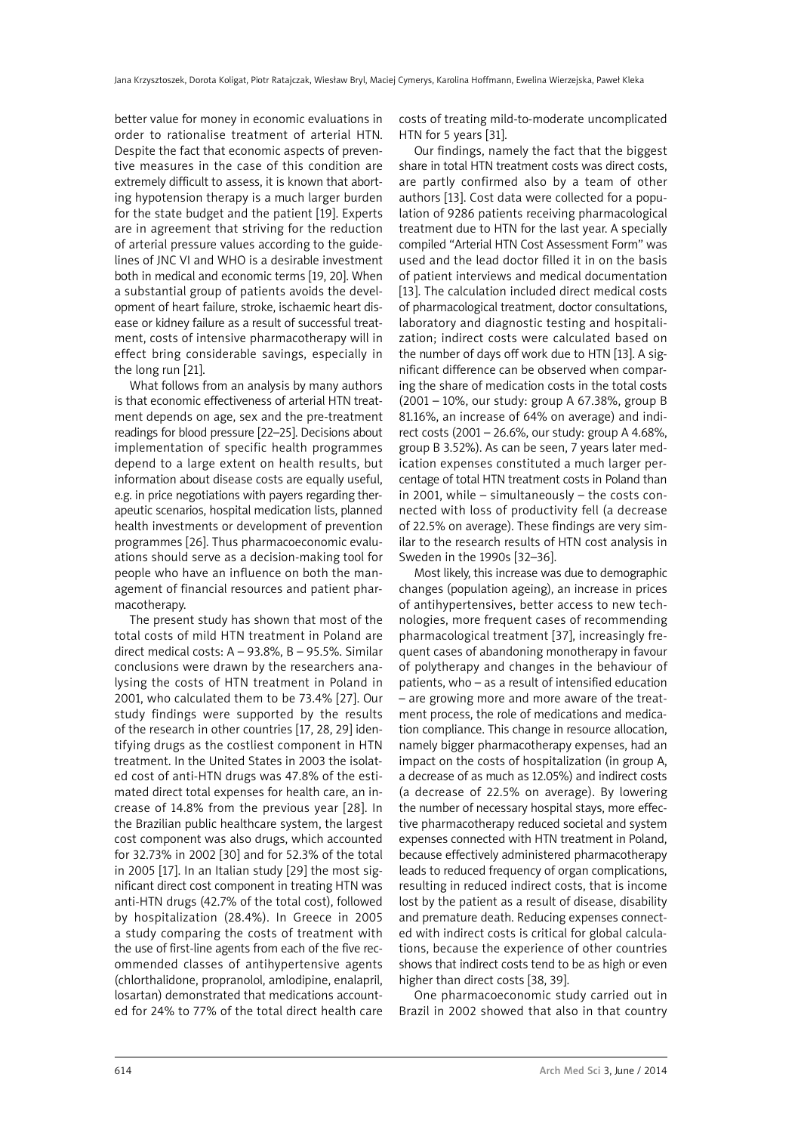better value for money in economic evaluations in order to rationalise treatment of arterial HTN. Despite the fact that economic aspects of preventive measures in the case of this condition are extremely difficult to assess, it is known that aborting hypotension therapy is a much larger burden for the state budget and the patient [19]. Experts are in agreement that striving for the reduction of arterial pressure values according to the guidelines of JNC VI and WHO is a desirable investment both in medical and economic terms [19, 20]. When a substantial group of patients avoids the development of heart failure, stroke, ischaemic heart disease or kidney failure as a result of successful treatment, costs of intensive pharmacotherapy will in effect bring considerable savings, especially in the long run [21].

What follows from an analysis by many authors is that economic effectiveness of arterial HTN treatment depends on age, sex and the pre-treatment readings for blood pressure [22–25]. Decisions about implementation of specific health programmes depend to a large extent on health results, but information about disease costs are equally useful, e.g. in price negotiations with payers regarding therapeutic scenarios, hospital medication lists, planned health investments or development of prevention programmes [26]. Thus pharmacoeconomic evaluations should serve as a decision-making tool for people who have an influence on both the management of financial resources and patient pharmacotherapy.

The present study has shown that most of the total costs of mild HTN treatment in Poland are direct medical costs: A – 93.8%, B – 95.5%. Similar conclusions were drawn by the researchers analysing the costs of HTN treatment in Poland in 2001, who calculated them to be 73.4% [27]. Our study findings were supported by the results of the research in other countries [17, 28, 29] identifying drugs as the costliest component in HTN treatment. In the United States in 2003 the isolated cost of anti-HTN drugs was 47.8% of the estimated direct total expenses for health care, an increase of 14.8% from the previous year [28]. In the Brazilian public healthcare system, the largest cost component was also drugs, which accounted for 32.73% in 2002 [30] and for 52.3% of the total in 2005 [17]. In an Italian study [29] the most significant direct cost component in treating HTN was anti-HTN drugs (42.7% of the total cost), followed by hospitalization (28.4%). In Greece in 2005 a study comparing the costs of treatment with the use of first-line agents from each of the five recommended classes of antihypertensive agents (chlorthalidone, propranolol, amlodipine, enalapril, losartan) demonstrated that medications accounted for 24% to 77% of the total direct health care costs of treating mild-to-moderate uncomplicated HTN for 5 years [31].

Our findings, namely the fact that the biggest share in total HTN treatment costs was direct costs, are partly confirmed also by a team of other authors [13]. Cost data were collected for a population of 9286 patients receiving pharmacological treatment due to HTN for the last year. A specially compiled "Arterial HTN Cost Assessment Form" was used and the lead doctor filled it in on the basis of patient interviews and medical documentation [13]. The calculation included direct medical costs of pharmacological treatment, doctor consultations, laboratory and diagnostic testing and hospitalization; indirect costs were calculated based on the number of days off work due to HTN [13]. A significant difference can be observed when comparing the share of medication costs in the total costs (2001 – 10%, our study: group A 67.38%, group B 81.16%, an increase of 64% on average) and indirect costs (2001 – 26.6%, our study: group A 4.68%, group B 3.52%). As can be seen, 7 years later medication expenses constituted a much larger percentage of total HTN treatment costs in Poland than in 2001, while – simultaneously – the costs connected with loss of productivity fell (a decrease of 22.5% on average). These findings are very similar to the research results of HTN cost analysis in Sweden in the 1990s [32–36].

Most likely, this increase was due to demographic changes (population ageing), an increase in prices of antihypertensives, better access to new technologies, more frequent cases of recommending pharmacological treatment [37], increasingly frequent cases of abandoning monotherapy in favour of polytherapy and changes in the behaviour of patients, who – as a result of intensified education – are growing more and more aware of the treatment process, the role of medications and medication compliance. This change in resource allocation, namely bigger pharmacotherapy expenses, had an impact on the costs of hospitalization (in group A, a decrease of as much as 12.05%) and indirect costs (a decrease of 22.5% on average). By lowering the number of necessary hospital stays, more effective pharmacotherapy reduced societal and system expenses connected with HTN treatment in Poland, because effectively administered pharmacotherapy leads to reduced frequency of organ complications, resulting in reduced indirect costs, that is income lost by the patient as a result of disease, disability and premature death. Reducing expenses connected with indirect costs is critical for global calculations, because the experience of other countries shows that indirect costs tend to be as high or even higher than direct costs [38, 39].

One pharmacoeconomic study carried out in Brazil in 2002 showed that also in that country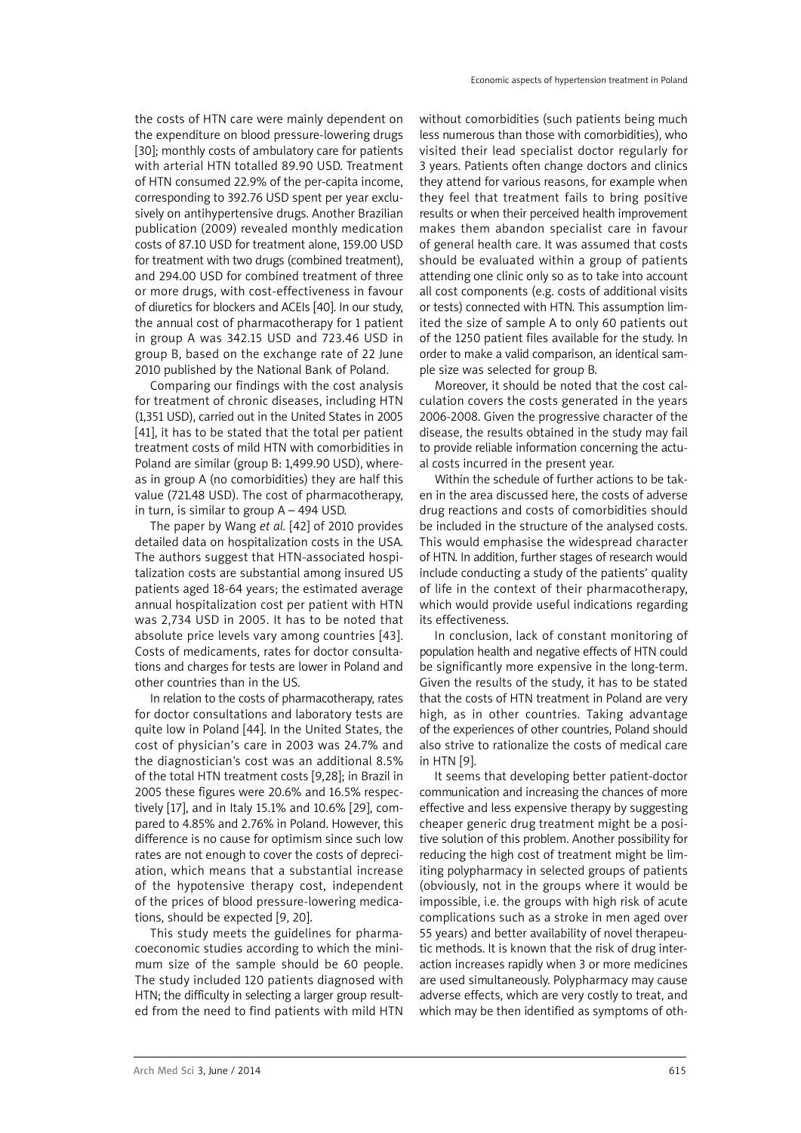the costs of HTN care were mainly dependent on the expenditure on blood pressure-lowering drugs [30]; monthly costs of ambulatory care for patients with arterial HTN totalled 89.90 USD. Treatment of HTN consumed 22.9% of the per-capita income, corresponding to 392.76 USD spent per year exclusively on antihypertensive drugs. Another Brazilian publication (2009) revealed monthly medication costs of 87.10 USD for treatment alone, 159.00 USD for treatment with two drugs (combined treatment), and 294.00 USD for combined treatment of three or more drugs, with cost-effectiveness in favour of diuretics for blockers and ACEIs [40]. In our study, the annual cost of pharmacotherapy for 1 patient in group A was 342.15 USD and 723.46 USD in group B, based on the exchange rate of 22 June 2010 published by the National Bank of Poland.

Comparing our findings with the cost analysis for treatment of chronic diseases, including HTN (1,351 USD), carried out in the United States in 2005 [41], it has to be stated that the total per patient treatment costs of mild HTN with comorbidities in Poland are similar (group B: 1,499.90 USD), whereas in group A (no comorbidities) they are half this value (721.48 USD). The cost of pharmacotherapy, in turn, is similar to group A – 494 USD.

The paper by Wang *et al.* [42] of 2010 provides detailed data on hospitalization costs in the USA. The authors suggest that HTN-associated hospitalization costs are substantial among insured US patients aged 18-64 years; the estimated average annual hospitalization cost per patient with HTN was 2,734 USD in 2005. It has to be noted that absolute price levels vary among countries [43]. Costs of medicaments, rates for doctor consultations and charges for tests are lower in Poland and other countries than in the US.

In relation to the costs of pharmacotherapy, rates for doctor consultations and laboratory tests are quite low in Poland [44]. In the United States, the cost of physician's care in 2003 was 24.7% and the diagnostician's cost was an additional 8.5% of the total HTN treatment costs [9,28]; in Brazil in 2005 these figures were 20.6% and 16.5% respectively [17], and in Italy 15.1% and 10.6% [29], compared to 4.85% and 2.76% in Poland. However, this difference is no cause for optimism since such low rates are not enough to cover the costs of depreciation, which means that a substantial increase of the hypotensive therapy cost, independent of the prices of blood pressure-lowering medications, should be expected [9, 20].

This study meets the guidelines for pharmacoeconomic studies according to which the minimum size of the sample should be 60 people. The study included 120 patients diagnosed with HTN; the difficulty in selecting a larger group resulted from the need to find patients with mild HTN

without comorbidities (such patients being much less numerous than those with comorbidities), who visited their lead specialist doctor regularly for 3 years. Patients often change doctors and clinics they attend for various reasons, for example when they feel that treatment fails to bring positive results or when their perceived health improvement makes them abandon specialist care in favour of general health care. It was assumed that costs should be evaluated within a group of patients attending one clinic only so as to take into account all cost components (e.g. costs of additional visits or tests) connected with HTN. This assumption limited the size of sample A to only 60 patients out of the 1250 patient files available for the study. In order to make a valid comparison, an identical sample size was selected for group B.

Moreover, it should be noted that the cost calculation covers the costs generated in the years 2006-2008. Given the progressive character of the disease, the results obtained in the study may fail to provide reliable information concerning the actual costs incurred in the present year.

Within the schedule of further actions to be taken in the area discussed here, the costs of adverse drug reactions and costs of comorbidities should be included in the structure of the analysed costs. This would emphasise the widespread character of HTN. In addition, further stages of research would include conducting a study of the patients' quality of life in the context of their pharmacotherapy, which would provide useful indications regarding its effectiveness.

In conclusion, lack of constant monitoring of population health and negative effects of HTN could be significantly more expensive in the long-term. Given the results of the study, it has to be stated that the costs of HTN treatment in Poland are very high, as in other countries. Taking advantage of the experiences of other countries, Poland should also strive to rationalize the costs of medical care in HTN [9].

It seems that developing better patient-doctor communication and increasing the chances of more effective and less expensive therapy by suggesting cheaper generic drug treatment might be a positive solution of this problem. Another possibility for reducing the high cost of treatment might be limiting polypharmacy in selected groups of patients (obviously, not in the groups where it would be impossible, i.e. the groups with high risk of acute complications such as a stroke in men aged over 55 years) and better availability of novel therapeutic methods. It is known that the risk of drug interaction increases rapidly when 3 or more medicines are used simultaneously. Polypharmacy may cause adverse effects, which are very costly to treat, and which may be then identified as symptoms of oth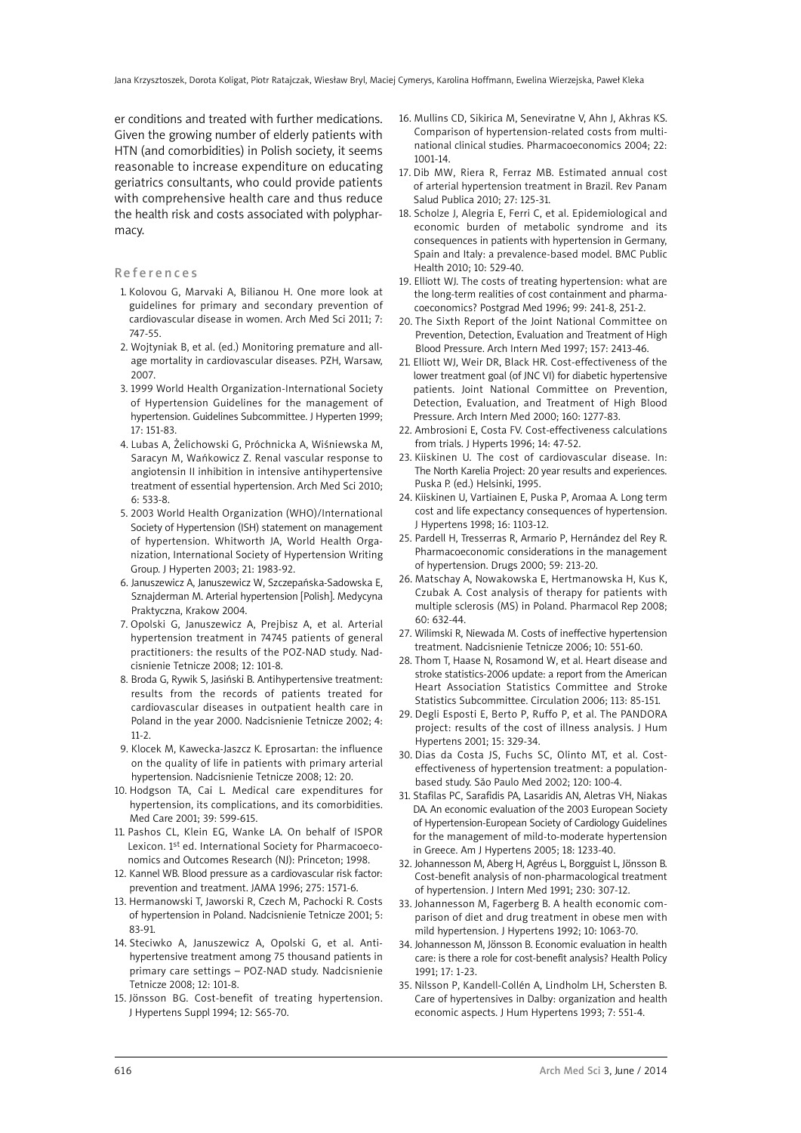er conditions and treated with further medications. Given the growing number of elderly patients with HTN (and comorbidities) in Polish society, it seems reasonable to increase expenditure on educating geriatrics consultants, who could provide patients with comprehensive health care and thus reduce the health risk and costs associated with polypharmacy.

#### Re f e r e n c e s

- 1. Kolovou G, Marvaki A, Bilianou H. One more look at guidelines for primary and secondary prevention of cardiovascular disease in women. Arch Med Sci 2011; 7: 747-55.
- 2. Wojtyniak B, et al. (ed.) Monitoring premature and allage mortality in cardiovascular diseases. PZH, Warsaw, 2007.
- 3. 1999 World Health Organization-International Society of Hypertension Guidelines for the management of hypertension. Guidelines Subcommittee. J Hyperten 1999; 17: 151-83.
- 4. Lubas A, Żelichowski G, Próchnicka A, Wiśniewska M, Saracyn M, Wańkowicz Z. Renal vascular response to angiotensin II inhibition in intensive antihypertensive treatment of essential hypertension. Arch Med Sci 2010; 6: 533-8.
- 5. 2003 World Health Organization (WHO)/International Society of Hypertension (ISH) statement on management of hypertension. Whitworth JA, World Health Organization, International Society of Hypertension Writing Group. J Hyperten 2003; 21: 1983-92.
- 6. Januszewicz A, Januszewicz W, Szczepańska-Sadowska E, Sznajderman M. Arterial hypertension [Polish]. Medycyna Praktyczna, Krakow 2004.
- 7. Opolski G, Januszewicz A, Prejbisz A, et al. Arterial hypertension treatment in 74745 patients of general practitioners: the results of the POZ-NAD study. Nadcisnienie Tetnicze 2008; 12: 101-8.
- 8. Broda G, Rywik S, Jasiński B. Antihypertensive treatment: results from the records of patients treated for cardiovascular diseases in outpatient health care in Poland in the year 2000. Nadcisnienie Tetnicze 2002; 4: 11-2.
- 9. Klocek M, Kawecka-Jaszcz K. Eprosartan: the influence on the quality of life in patients with primary arterial hypertension. Nadcisnienie Tetnicze 2008; 12: 20.
- 10. Hodgson TA, Cai L. Medical care expenditures for hypertension, its complications, and its comorbidities. Med Care 2001; 39: 599-615.
- 11. Pashos CL, Klein EG, Wanke LA. On behalf of ISPOR Lexicon. 1st ed. International Society for Pharmacoeconomics and Outcomes Research (NJ): Princeton; 1998.
- 12. Kannel WB. Blood pressure as a cardiovascular risk factor: prevention and treatment. JAMA 1996; 275: 1571-6.
- 13. Hermanowski T, Jaworski R, Czech M, Pachocki R. Costs of hypertension in Poland. Nadcisnienie Tetnicze 2001; 5: 83-91.
- 14. Steciwko A, Januszewicz A, Opolski G, et al. Antihypertensive treatment among 75 thousand patients in primary care settings – POZ-NAD study. Nadcisnienie Tetnicze 2008; 12: 101-8.
- 15. Jönsson BG. Cost-benefit of treating hypertension. J Hypertens Suppl 1994; 12: S65-70.
- 16. Mullins CD, Sikirica M, Seneviratne V, Ahn J, Akhras KS. Comparison of hypertension-related costs from multinational clinical studies. Pharmacoeconomics 2004; 22: 1001-14.
- 17. Dib MW, Riera R, Ferraz MB. Estimated annual cost of arterial hypertension treatment in Brazil. Rev Panam Salud Publica 2010; 27: 125-31.
- 18. Scholze J, Alegria E, Ferri C, et al. Epidemiological and economic burden of metabolic syndrome and its consequences in patients with hypertension in Germany, Spain and Italy: a prevalence-based model. BMC Public Health 2010; 10: 529-40.
- 19. Elliott WJ. The costs of treating hypertension: what are the long-term realities of cost containment and pharmacoeconomics? Postgrad Med 1996; 99: 241-8, 251-2.
- 20. The Sixth Report of the Joint National Committee on Prevention, Detection, Evaluation and Treatment of High Blood Pressure. Arch Intern Med 1997; 157: 2413-46.
- 21. Elliott WJ, Weir DR, Black HR. Cost-effectiveness of the lower treatment goal (of JNC VI) for diabetic hypertensive patients. Joint National Committee on Prevention, Detection, Evaluation, and Treatment of High Blood Pressure. Arch Intern Med 2000; 160: 1277-83.
- 22. Ambrosioni E, Costa FV. Cost-effectiveness calculations from trials. J Hyperts 1996; 14: 47-52.
- 23. Kiiskinen U. The cost of cardiovascular disease. In: The North Karelia Project: 20 year results and experiences. Puska P. (ed.) Helsinki, 1995.
- 24. Kiiskinen U, Vartiainen E, Puska P, Aromaa A. Long term cost and life expectancy consequences of hypertension. J Hypertens 1998; 16: 1103-12.
- 25. Pardell H, Tresserras R, Armario P, Hernández del Rey R. Pharmacoeconomic considerations in the management of hypertension. Drugs 2000; 59: 213-20.
- 26. Matschay A, Nowakowska E, Hertmanowska H, Kus K, Czubak A. Cost analysis of therapy for patients with multiple sclerosis (MS) in Poland. Pharmacol Rep 2008; 60: 632-44.
- 27. Wilimski R, Niewada M. Costs of ineffective hypertension treatment. Nadcisnienie Tetnicze 2006; 10: 551-60.
- 28. Thom T, Haase N, Rosamond W, et al. Heart disease and stroke statistics-2006 update: a report from the American Heart Association Statistics Committee and Stroke Statistics Subcommittee. Circulation 2006; 113: 85-151.
- 29. Degli Esposti E, Berto P, Ruffo P, et al. The PANDORA project: results of the cost of illness analysis. J Hum Hypertens 2001; 15: 329-34.
- 30. Dias da Costa JS, Fuchs SC, Olinto MT, et al. Costeffectiveness of hypertension treatment: a populationbased study. Săo Paulo Med 2002; 120: 100-4.
- 31. Stafilas PC, Sarafidis PA, Lasaridis AN, Aletras VH, Niakas DA. An economic evaluation of the 2003 European Society of Hypertension-European Society of Cardiology Guidelines for the management of mild-to-moderate hypertension in Greece. Am J Hypertens 2005; 18: 1233-40.
- 32. Johannesson M, Aberg H, Agréus L, Borgguist L, Jönsson B. Cost-benefit analysis of non-pharmacological treatment of hypertension. J Intern Med 1991; 230: 307-12.
- 33. Johannesson M, Fagerberg B. A health economic comparison of diet and drug treatment in obese men with mild hypertension. J Hypertens 1992; 10: 1063-70.
- 34. Johannesson M, Jönsson B. Economic evaluation in health care: is there a role for cost-benefit analysis? Health Policy 1991; 17: 1-23.
- 35. Nilsson P, Kandell-Collén A, Lindholm LH, Schersten B. Care of hypertensives in Dalby: organization and health economic aspects. J Hum Hypertens 1993; 7: 551-4.